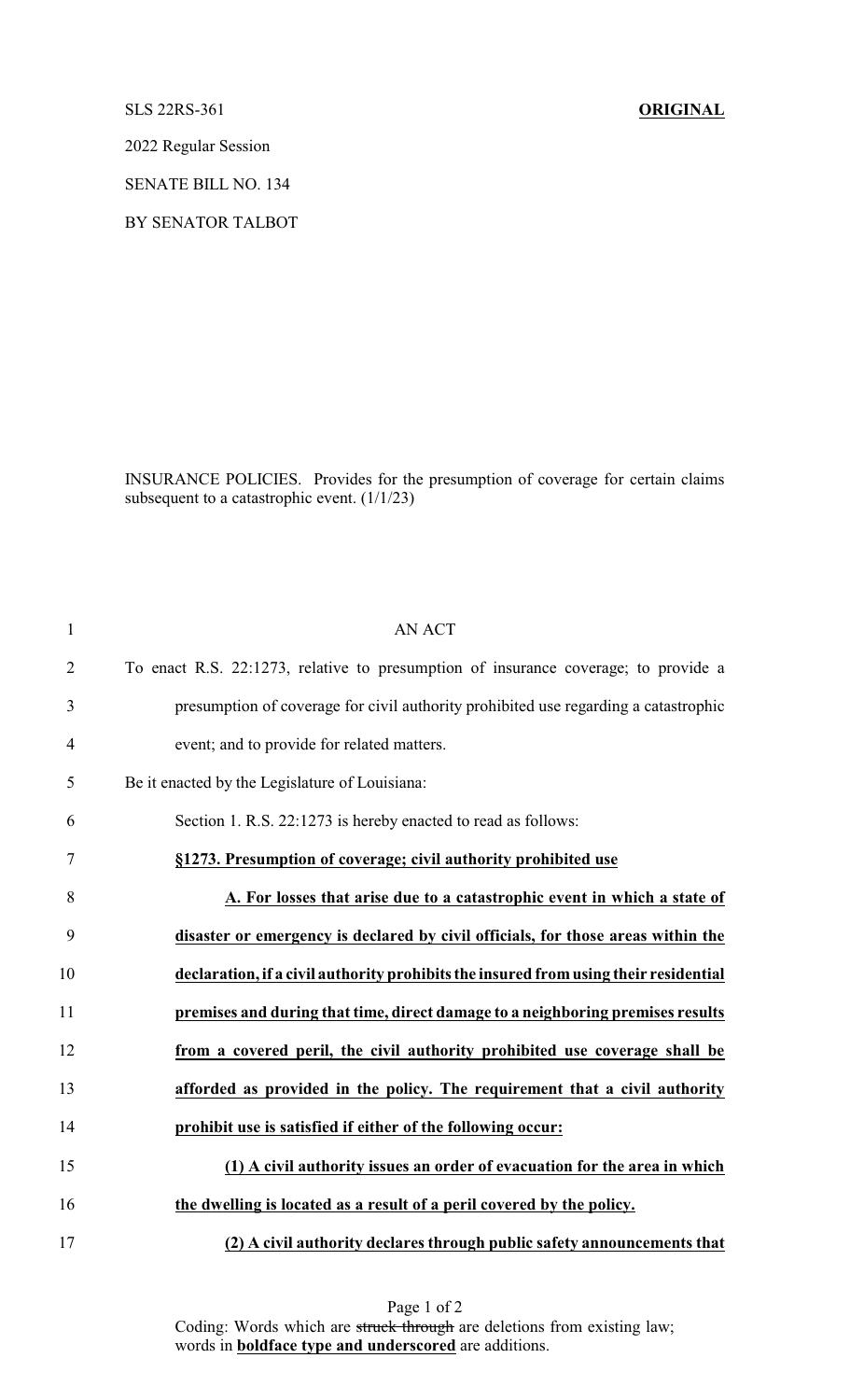SLS 22RS-361 **ORIGINAL**

2022 Regular Session

SENATE BILL NO. 134

BY SENATOR TALBOT

INSURANCE POLICIES. Provides for the presumption of coverage for certain claims subsequent to a catastrophic event. (1/1/23)

| $\mathbf{1}$   | <b>AN ACT</b>                                                                        |
|----------------|--------------------------------------------------------------------------------------|
| $\overline{2}$ | To enact R.S. 22:1273, relative to presumption of insurance coverage; to provide a   |
| 3              | presumption of coverage for civil authority prohibited use regarding a catastrophic  |
| $\overline{4}$ | event; and to provide for related matters.                                           |
| 5              | Be it enacted by the Legislature of Louisiana:                                       |
| 6              | Section 1. R.S. 22:1273 is hereby enacted to read as follows:                        |
| $\tau$         | §1273. Presumption of coverage; civil authority prohibited use                       |
| 8              | A. For losses that arise due to a catastrophic event in which a state of             |
| 9              | disaster or emergency is declared by civil officials, for those areas within the     |
| 10             | declaration, if a civil authority prohibits the insured from using their residential |
| 11             | premises and during that time, direct damage to a neighboring premises results       |
| 12             | from a covered peril, the civil authority prohibited use coverage shall be           |
| 13             | afforded as provided in the policy. The requirement that a civil authority           |
| 14             | prohibit use is satisfied if either of the following occur:                          |
| 15             | (1) A civil authority issues an order of evacuation for the area in which            |
| 16             | the dwelling is located as a result of a peril covered by the policy.                |
| 17             | (2) A civil authority declares through public safety announcements that              |

Page 1 of 2 Coding: Words which are struck through are deletions from existing law; words in **boldface type and underscored** are additions.